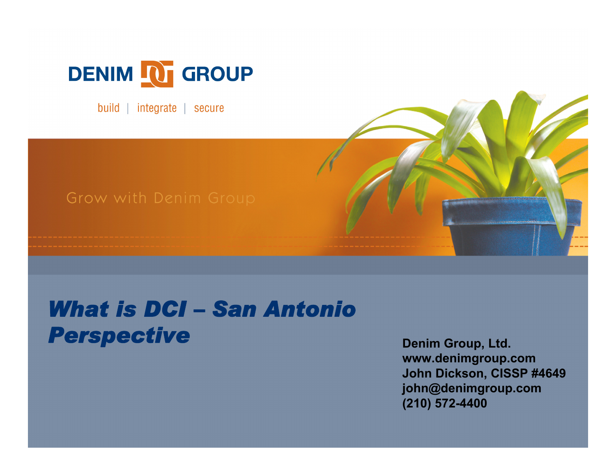

build | integrate | secure

#### Grow with Denim Group

#### *What is DCI – San Antonio*  **Perspective Denim Group, Ltd.**

**www.denimgroup.com John Dickson, CISSP #4649 john@denimgroup.com (210) 572-4400**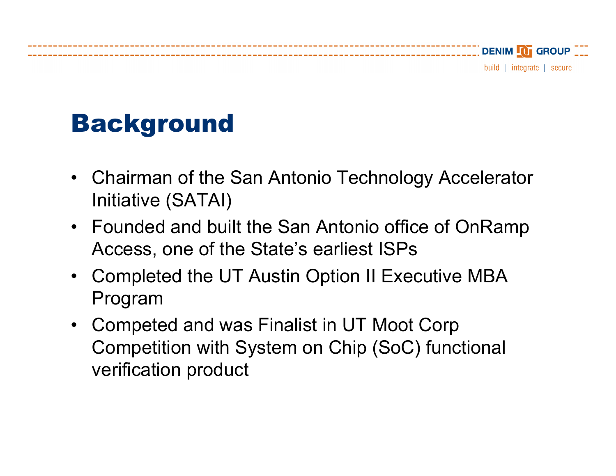## Background

- $\bullet$  Chairman of the San Antonio Technology Accelerator Initiative (SATAI)
- Founded and built the San Antonio office of OnRamp Access, one of the State's earliest ISPs
- $\bullet$  Completed the UT Austin Option II Executive MBA Program
- $\bullet$  Competed and was Finalist in UT Moot Corp Competition with System on Chip (SoC) functional verification product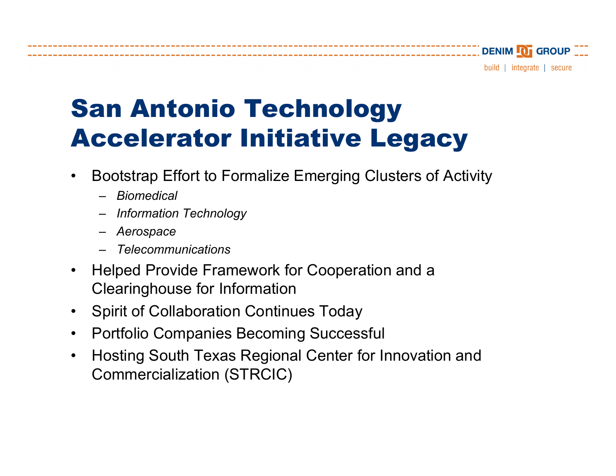DENIM **101** GROUP

build | integrate | secure

# San Antonio Technology Accelerator Initiative Legacy

- •Bootstrap Effort to Formalize Emerging Clusters of Activity
	- *Biomedical*
	- *Information Technology*
	- *Aerospa c e*
	- *Telecommunications*
- $\bullet$ Helped Provide Framework for Cooperation and a Clearinghouse for Information
- •Spirit of Collaboration Continues Today
- $\bullet$ Portfolio Companies Becoming Successful
- $\bullet$ Hosting South Texas Regional Center for Innovation and Commercialization (STRCIC)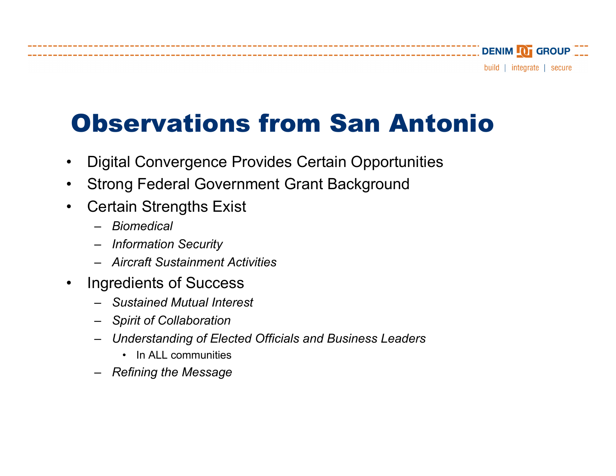## Observations from San Antonio

- •Digital Convergence Provides Certain Opportunities
- •Strong Federal Government Grant Background
- $\bullet$ Certain Strengths Exist
	- *Biomedical*
	- *Information Security*
	- *Aircraft Sustainment Activities*
- • Ingredients of Success
	- *Sustained Mutual Interest*
	- *Spirit of Collaboration*
	- *Understanding of Elected O fficials and Business Leaders* 
		- In ALL communities
	- *Refining the Messag e*